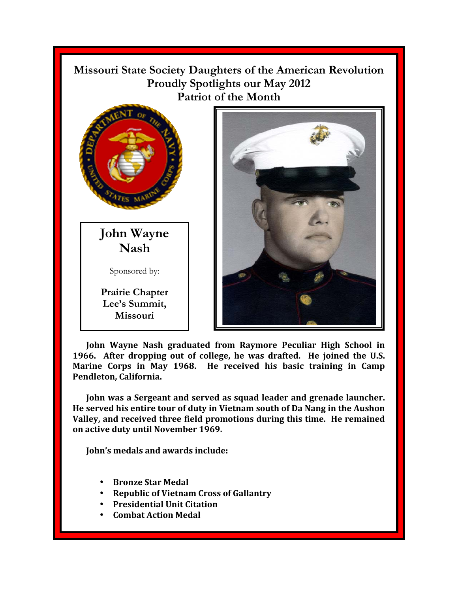**Missouri State Society Daughters of the American Revolution Proudly Spotlights our May 2012 Patriot of the Month** 



**John Wayne Nash** 

Sponsored by:

**Prairie Chapter**  Lee's Summit, **Missouri** 



**John Wayne Nash graduated from Raymore Peculiar High School in 1966. After dropping out of college, he was drafted. He joined the U.S. Marine Corps in May 1968. He received his basic training in Camp Pendleton, California.** 

**John was a Sergeant and served as squad leader and grenade launcher. He served his entire tour of duty in Vietnam south of Da Nang in the Aushon Valley, and received three field promotions during this time. He remained on active duty until November 1969.** 

**John's medals and awards include:** 

- **Bronze Star Medal**
- **Republic of Vietnam Cross of Gallantry**
- **Presidential Unit Citation**
- **Combat Action Medal**